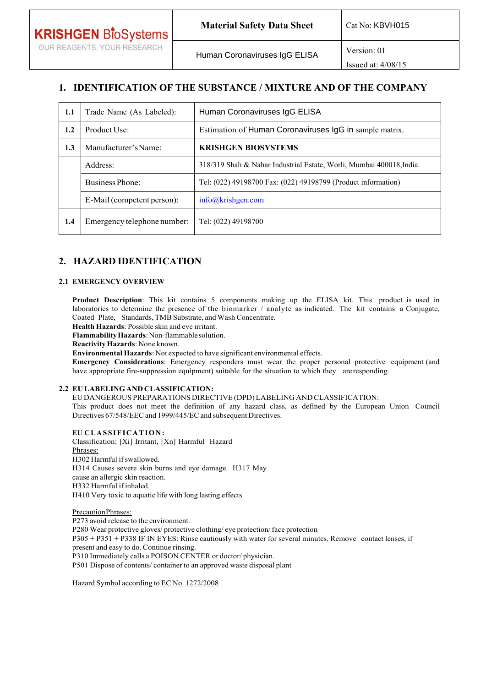# **1. IDENTIFICATION OF THE SUBSTANCE / MIXTURE AND OF THE COMPANY**

Issued at: 4/08/15

| 1.1                    | Trade Name (As Labeled):    | Human Coronaviruses IgG ELISA                                        |  |  |
|------------------------|-----------------------------|----------------------------------------------------------------------|--|--|
| 1.2                    | Product Use:                | Estimation of Human Coronaviruses IgG in sample matrix.              |  |  |
| 1.3                    | Manufacturer's Name:        | <b>KRISHGEN BIOSYSTEMS</b>                                           |  |  |
|                        | Address:                    | 318/319 Shah & Nahar Industrial Estate, Worli, Mumbai 400018, India. |  |  |
| <b>Business Phone:</b> |                             | Tel: (022) 49198700 Fax: (022) 49198799 (Product information)        |  |  |
|                        | E-Mail (competent person):  | info@krishgen.com                                                    |  |  |
| 1.4                    | Emergency telephone number: | Tel: (022) 49198700                                                  |  |  |

# **2. HAZARD IDENTIFICATION**

### **2.1 EMERGENCY OVERVIEW**

**Product Description**: This kit contains 5 components making up the ELISA kit. This product is used in laboratories to determine the presence of the biomarker / analyte as indicated. The kit contains a Conjugate, Coated Plate, Standards, TMB Substrate, and Wash Concentrate.

**Health Hazards**: Possible skin and eye irritant.

**Flammability Hazards**: Non-flammable solution.

**Reactivity Hazards**: None known.

**Environmental Hazards**: Not expected to have significant environmental effects.

**Emergency Considerations**: Emergency responders must wear the proper personal protective equipment (and have appropriate fire-suppression equipment) suitable for the situation to which they are responding.

## **2.2 EU LABELING AND CLASSIFICATION:**

EU DANGEROUS PREPARATIONS DIRECTIVE (DPD) LABELING AND CLASSIFICATION:

This product does not meet the definition of any hazard class, as defined by the European Union Council Directives 67/548/EEC and 1999/445/EC and subsequent Directives.

**EU CLASSIFICATION:** Classification: [Xi] Irritant, [Xn] Harmful Hazard Phrases: H302 Harmful if swallowed. H314 Causes severe skin burns and eye damage. H317 May cause an allergic skin reaction. H332 Harmful if inhaled. H410 Very toxic to aquatic life with long lasting effects

Precaution Phrases:

P273 avoid release to the environment. P280 Wear protective gloves/ protective clothing/ eye protection/ face protection P305 + P351 + P338 IF IN EYES: Rinse cautiously with water for several minutes. Remove contact lenses, if present and easy to do. Continue rinsing. P310 Immediately calls a POISON CENTER or doctor/ physician. P501 Dispose of contents/ container to an approved waste disposal plant

Hazard Symbol according to EC No. 1272/2008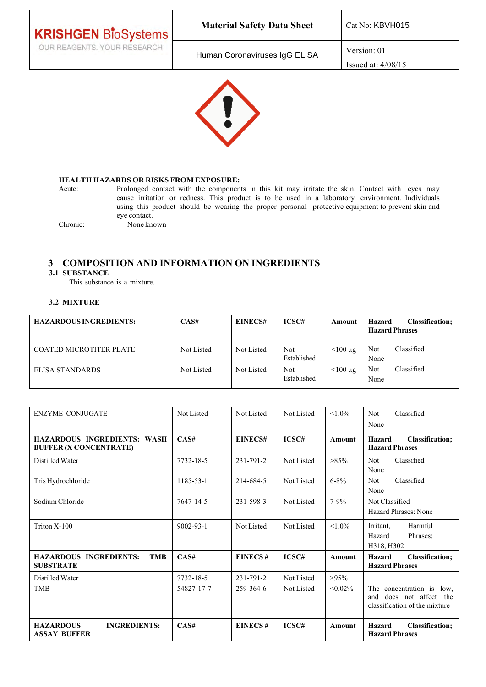| <b>KRISHGEN BloSystems</b>  | <b>Material Safety Data Sheet</b> | Cat No: KBVH015                     |
|-----------------------------|-----------------------------------|-------------------------------------|
| OUR REAGENTS. YOUR RESEARCH | Human Coronaviruses IgG ELISA     | Version: 01<br>Issued at: $4/08/15$ |



## **HEALTH HAZARDS OR RISKS FROM EXPOSURE:**

Acute: Prolonged contact with the components in this kit may irritate the skin. Contact with eyes may cause irritation or redness. This product is to be used in a laboratory environment. Individuals using this product should be wearing the proper personal protective equipment to prevent skin and eye contact. Chronic: None known

# **3 COMPOSITION AND INFORMATION ON INGREDIENTS**

## **3.1 SUBSTANCE**

This substance is a mixture.

## **3.2 MIXTURE**

| <b>HAZARDOUS INGREDIENTS:</b>  | CAS#       | EINECS#    | ICSC#               | Amount     | <b>Classification:</b><br>Hazard<br><b>Hazard Phrases</b> |
|--------------------------------|------------|------------|---------------------|------------|-----------------------------------------------------------|
| <b>COATED MICROTITER PLATE</b> | Not Listed | Not Listed | Not.<br>Established | $<$ 100 µg | Classified<br>Not<br>None                                 |
| ELISA STANDARDS                | Not Listed | Not Listed | Not.<br>Established | $<$ 100 µg | Classified<br>Not<br>None                                 |

| <b>ENZYME CONJUGATE</b>                                             | Not Listed      | Not Listed     | Not Listed        | $< 1.0\%$     | Classified<br><b>Not</b><br>None                                                         |
|---------------------------------------------------------------------|-----------------|----------------|-------------------|---------------|------------------------------------------------------------------------------------------|
| <b>HAZARDOUS INGREDIENTS: WASH</b><br><b>BUFFER (X CONCENTRATE)</b> | CAS#            | EINECS#        | ICSC#             | Amount        | <b>Classification:</b><br>Hazard<br><b>Hazard Phrases</b>                                |
| Distilled Water                                                     | 7732-18-5       | 231-791-2      | Not Listed        | $>85\%$       | Classified<br><b>Not</b><br>None                                                         |
| Tris Hydrochloride                                                  | 1185-53-1       | 214-684-5      | Not Listed        | $6 - 8\%$     | Classified<br><b>Not</b><br>None                                                         |
| Sodium Chloride                                                     | 7647-14-5       | 231-598-3      | Not Listed        | $7 - 9%$      | Not Classified<br>Hazard Phrases: None                                                   |
| Triton X-100                                                        | $9002 - 93 - 1$ | Not Listed     | Not Listed        | $< 1.0\%$     | Irritant.<br>Harmful<br>Phrases:<br>Hazard<br>H318, H302                                 |
| <b>HAZARDOUS INGREDIENTS:</b><br><b>TMB</b><br><b>SUBSTRATE</b>     | CAS#            | EINECS#        | ICSC#             | <b>Amount</b> | <b>Classification:</b><br>Hazard<br><b>Hazard Phrases</b>                                |
| Distilled Water                                                     | 7732-18-5       | 231-791-2      | Not Listed        | $>95\%$       |                                                                                          |
| <b>TMB</b>                                                          | 54827-17-7      | 259-364-6      | <b>Not Listed</b> | $< 0.02\%$    | The concentration is low.<br>does not affect the<br>and<br>classification of the mixture |
| <b>HAZARDOUS</b><br><b>INGREDIENTS:</b><br><b>ASSAY BUFFER</b>      | CAS#            | <b>EINECS#</b> | ICSC#             | Amount        | Hazard<br><b>Classification;</b><br><b>Hazard Phrases</b>                                |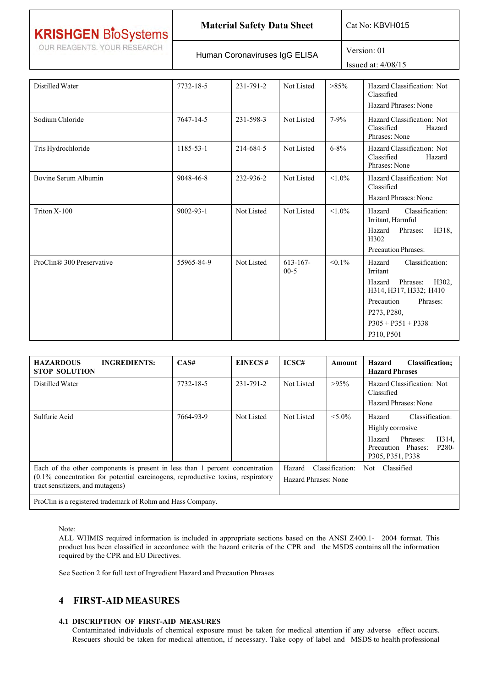| <b>KRISHGEN BloSystems</b>  | <b>Material Safety Data Sheet</b> | Cat No: KBVH015                     |
|-----------------------------|-----------------------------------|-------------------------------------|
| OUR REAGENTS. YOUR RESEARCH | Human Coronaviruses IgG ELISA     | Version: 01<br>Issued at: $4/08/15$ |

| Distilled Water           | 7732-18-5       | 231-791-2  | Not Listed            | $>85\%$   | Hazard Classification: Not<br>Classified<br><b>Hazard Phrases: None</b>                                                                                                                                 |
|---------------------------|-----------------|------------|-----------------------|-----------|---------------------------------------------------------------------------------------------------------------------------------------------------------------------------------------------------------|
| Sodium Chloride           | 7647-14-5       | 231-598-3  | Not Listed            | $7 - 9\%$ | Hazard Classification: Not<br>Classified<br>Hazard<br>Phrases: None                                                                                                                                     |
| Tris Hydrochloride        | 1185-53-1       | 214-684-5  | Not Listed            | $6 - 8\%$ | Hazard Classification: Not<br>Classified<br>Hazard<br>Phrases: None                                                                                                                                     |
| Bovine Serum Albumin      | 9048-46-8       | 232-936-2  | Not Listed            | $< 1.0\%$ | Hazard Classification: Not<br>Classified<br>Hazard Phrases: None                                                                                                                                        |
| Triton X-100              | $9002 - 93 - 1$ | Not Listed | Not Listed            | $< 1.0\%$ | Classification:<br>Hazard<br>Irritant, Harmful<br>Hazard<br>Phrases:<br>H318.<br>H302<br>Precaution Phrases:                                                                                            |
| ProClin® 300 Preservative | 55965-84-9      | Not Listed | $613 - 167$<br>$00-5$ | $< 0.1\%$ | Classification:<br>Hazard<br>Irritant<br>Hazard<br>Phrases:<br>H302.<br>H314, H317, H332; H410<br>Precaution<br>Phrases:<br>P <sub>273</sub> , P <sub>280</sub> ,<br>$P305 + P351 + P338$<br>P310, P501 |

| <b>HAZARDOUS</b><br><b>INGREDIENTS:</b><br><b>STOP SOLUTION</b>                                                                                                                                        | CAS#      | EINECS#    | ICSC#                          | Amount          | Hazard<br><b>Classification;</b><br><b>Hazard Phrases</b>                                                                                    |
|--------------------------------------------------------------------------------------------------------------------------------------------------------------------------------------------------------|-----------|------------|--------------------------------|-----------------|----------------------------------------------------------------------------------------------------------------------------------------------|
| Distilled Water                                                                                                                                                                                        | 7732-18-5 | 231-791-2  | Not Listed                     | $>95\%$         | Hazard Classification: Not<br>Classified<br>Hazard Phrases: None                                                                             |
| Sulfuric Acid                                                                                                                                                                                          | 7664-93-9 | Not Listed | Not Listed                     | $< 5.0\%$       | Classification:<br>Hazard<br>Highly corrosive<br>H314.<br>Hazard<br>Phrases:<br>Precaution Phases:<br>P <sub>280</sub> -<br>P305, P351, P338 |
| Each of the other components is present in less than 1 percent concentration<br>$(0.1\%$ concentration for potential carcinogens, reproductive toxins, respiratory<br>tract sensitizers, and mutagens) |           |            | Hazard<br>Hazard Phrases: None | Classification: | Classified<br>Not.                                                                                                                           |
| ProClin is a registered trademark of Rohm and Hass Company.                                                                                                                                            |           |            |                                |                 |                                                                                                                                              |

Note:

 $\mathbf{r}$ 

ALL WHMIS required information is included in appropriate sections based on the ANSI Z400.1- 2004 format. This product has been classified in accordance with the hazard criteria of the CPR and the MSDS contains all the information required by the CPR and EU Directives.

See Section 2 for full text of Ingredient Hazard and Precaution Phrases

# **4 FIRST-AID MEASURES**

## **4.1 DISCRIPTION OF FIRST-AID MEASURES**

Contaminated individuals of chemical exposure must be taken for medical attention if any adverse effect occurs. Rescuers should be taken for medical attention, if necessary. Take copy of label and MSDS to health professional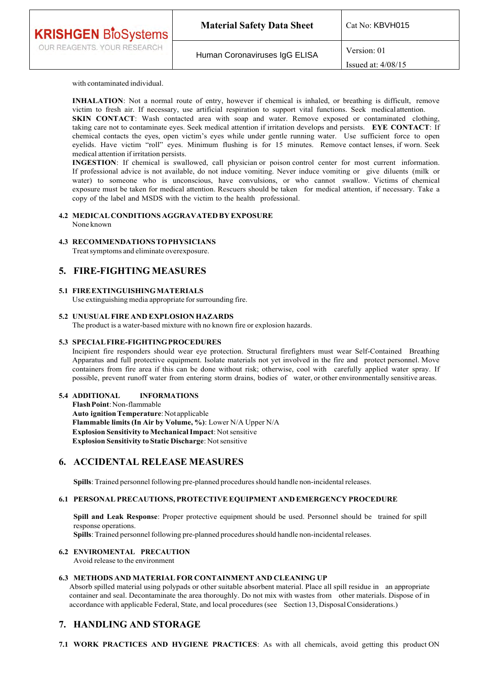| <b>KRISHGEN BioSystems</b>  | <b>Material Safety Data Sheet</b> | Cat No: KBVH015                     |
|-----------------------------|-----------------------------------|-------------------------------------|
| OUR REAGENTS. YOUR RESEARCH | Human Coronaviruses IgG ELISA     | Version: 01<br>Issued at: $4/08/15$ |

with contaminated individual.

**INHALATION**: Not a normal route of entry, however if chemical is inhaled, or breathing is difficult, remove victim to fresh air. If necessary, use artificial respiration to support vital functions. Seek medical attention. **SKIN CONTACT**: Wash contacted area with soap and water. Remove exposed or contaminated clothing, taking care not to contaminate eyes. Seek medical attention if irritation develops and persists. **EYE CONTACT**: If chemical contacts the eyes, open victim's eyes while under gentle running water. Use sufficient force to open eyelids. Have victim "roll" eyes. Minimum flushing is for 15 minutes. Remove contact lenses, if worn. Seek medical attention if irritation persists.

**INGESTION**: If chemical is swallowed, call physician or poison control center for most current information. If professional advice is not available, do not induce vomiting. Never induce vomiting or give diluents (milk or water) to someone who is unconscious, have convulsions, or who cannot swallow. Victims of chemical exposure must be taken for medical attention. Rescuers should be taken for medical attention, if necessary. Take a copy of the label and MSDS with the victim to the health professional.

#### **4.2 MEDICAL CONDITIONS AGGRAVATED BY EXPOSURE** None known

### **4.3 RECOMMENDATIONS TO PHYSICIANS**

Treat symptoms and eliminate overexposure.

## **5. FIRE-FIGHTING MEASURES**

### **5.1 FIRE EXTINGUISHING MATERIALS**

Use extinguishing media appropriate for surrounding fire.

#### **5.2 UNUSUAL FIRE AND EXPLOSION HAZARDS**

The product is a water-based mixture with no known fire or explosion hazards.

#### **5.3 SPECIAL FIRE-FIGHTING PROCEDURES**

Incipient fire responders should wear eye protection. Structural firefighters must wear Self-Contained Breathing Apparatus and full protective equipment. Isolate materials not yet involved in the fire and protect personnel. Move containers from fire area if this can be done without risk; otherwise, cool with carefully applied water spray. If possible, prevent runoff water from entering storm drains, bodies of water, or other environmentally sensitive areas.

### **5.4 ADDITIONAL INFORMATIONS**

**Flash Point**: Non-flammable **Auto ignition Temperature**: Not applicable **Flammable limits (In Air by Volume, %)**: Lower N/A Upper N/A **Explosion Sensitivity to Mechanical Impact**: Not sensitive **Explosion Sensitivity to Static Discharge**: Not sensitive

# **6. ACCIDENTAL RELEASE MEASURES**

**Spills**: Trained personnel following pre-planned procedures should handle non-incidental releases.

#### **6.1 PERSONAL PRECAUTIONS, PROTECTIVE EQUIPMENT AND EMERGENCY PROCEDURE**

**Spill and Leak Response**: Proper protective equipment should be used. Personnel should be trained for spill response operations.

**Spills**: Trained personnel following pre-planned procedures should handle non-incidental releases.

#### **6.2 ENVIROMENTAL PRECAUTION**

Avoid release to the environment

### **6.3 METHODS AND MATERIAL FOR CONTAINMENT AND CLEANING UP**

Absorb spilled material using polypads or other suitable absorbent material. Place all spill residue in an appropriate container and seal. Decontaminate the area thoroughly. Do not mix with wastes from other materials. Dispose of in accordance with applicable Federal, State, and local procedures (see Section 13, Disposal Considerations.)

# **7. HANDLING AND STORAGE**

**7.1 WORK PRACTICES AND HYGIENE PRACTICES**: As with all chemicals, avoid getting this product ON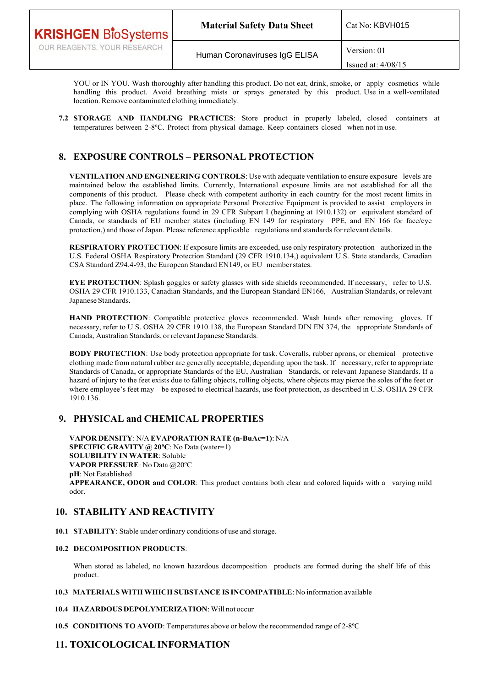| <b>KRISHGEN BloSystems</b>  | <b>Material Safety Data Sheet</b> | Cat No: KBVH015      |
|-----------------------------|-----------------------------------|----------------------|
| OUR REAGENTS. YOUR RESEARCH | Human Coronaviruses IgG ELISA     | Version: 01          |
|                             |                                   | Issued at: $4/08/15$ |

YOU or IN YOU. Wash thoroughly after handling this product. Do not eat, drink, smoke, or apply cosmetics while handling this product. Avoid breathing mists or sprays generated by this product. Use in a well-ventilated location. Remove contaminated clothing immediately.

**7.2 STORAGE AND HANDLING PRACTICES**: Store product in properly labeled, closed containers at temperatures between 2-8ºC. Protect from physical damage. Keep containers closed when not in use.

# **8. EXPOSURE CONTROLS – PERSONAL PROTECTION**

**VENTILATION AND ENGINEERING CONTROLS**: Use with adequate ventilation to ensure exposure levels are maintained below the established limits. Currently, International exposure limits are not established for all the components of this product. Please check with competent authority in each country for the most recent limits in place. The following information on appropriate Personal Protective Equipment is provided to assist employers in complying with OSHA regulations found in 29 CFR Subpart I (beginning at 1910.132) or equivalent standard of Canada, or standards of EU member states (including EN 149 for respiratory PPE, and EN 166 for face/eye protection,) and those of Japan. Please reference applicable regulations and standards for relevant details.

**RESPIRATORY PROTECTION**: If exposure limits are exceeded, use only respiratory protection authorized in the U.S. Federal OSHA Respiratory Protection Standard (29 CFR 1910.134,) equivalent U.S. State standards, Canadian CSA Standard Z94.4-93, the European Standard EN149, or EU member states.

**EYE PROTECTION**: Splash goggles or safety glasses with side shields recommended. If necessary, refer to U.S. OSHA 29 CFR 1910.133, Canadian Standards, and the European Standard EN166, Australian Standards, or relevant Japanese Standards.

**HAND PROTECTION**: Compatible protective gloves recommended. Wash hands after removing gloves. If necessary, refer to U.S. OSHA 29 CFR 1910.138, the European Standard DIN EN 374, the appropriate Standards of Canada, Australian Standards, or relevant Japanese Standards.

**BODY PROTECTION**: Use body protection appropriate for task. Coveralls, rubber aprons, or chemical protective clothing made from natural rubber are generally acceptable, depending upon the task. If necessary, refer to appropriate Standards of Canada, or appropriate Standards of the EU, Australian Standards, or relevant Japanese Standards. If a hazard of injury to the feet exists due to falling objects, rolling objects, where objects may pierce the soles of the feet or where employee's feet may be exposed to electrical hazards, use foot protection, as described in U.S. OSHA 29 CFR 1910.136.

# **9. PHYSICAL and CHEMICAL PROPERTIES**

**VAPOR DENSITY**: N/A **EVAPORATION RATE (n-BuAc=1)**: N/A **SPECIFIC GRAVITY @ 20ºC**: No Data (water=1) **SOLUBILITY IN WATER**: Soluble **VAPOR PRESSURE**: No Data @20ºC **pH**: Not Established **APPEARANCE, ODOR and COLOR**: This product contains both clear and colored liquids with a varying mild odor.

# **10. STABILITY AND REACTIVITY**

**10.1 STABILITY**: Stable under ordinary conditions of use and storage.

## **10.2 DECOMPOSITION PRODUCTS**:

When stored as labeled, no known hazardous decomposition products are formed during the shelf life of this product.

## **10.3 MATERIALS WITH WHICH SUBSTANCE IS INCOMPATIBLE**: No information available

## **10.4 HAZARDOUS DEPOLYMERIZATION**: Will not occur

**10.5 CONDITIONS TO AVOID**: Temperatures above or below the recommended range of 2-8ºC

# **11. TOXICOLOGICAL INFORMATION**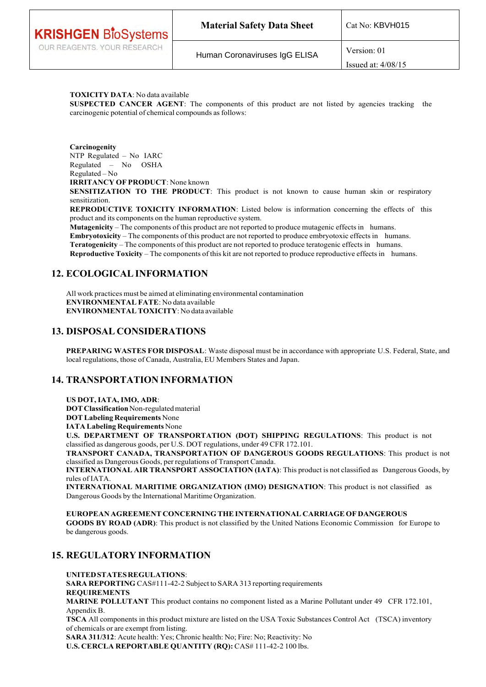| <b>KRISHGEN BioSystems</b>  | <b>Material Safety Data Sheet</b> | Cat No: KBVH015      |
|-----------------------------|-----------------------------------|----------------------|
| OUR REAGENTS. YOUR RESEARCH | Human Coronaviruses IgG ELISA     | Version: 01          |
|                             |                                   | Issued at: $4/08/15$ |

### **TOXICITY DATA**: No data available

**SUSPECTED CANCER AGENT**: The components of this product are not listed by agencies tracking the carcinogenic potential of chemical compounds as follows:

**Carcinogenity** NTP Regulated – No IARC Regulated – No OSHA Regulated – No

**IRRITANCY OF PRODUCT**: None known

**SENSITIZATION TO THE PRODUCT:** This product is not known to cause human skin or respiratory sensitization.

**REPRODUCTIVE TOXICITY INFORMATION**: Listed below is information concerning the effects of this product and its components on the human reproductive system.

**Mutagenicity** – The components of this product are not reported to produce mutagenic effects in humans. **Embryotoxicity** – The components of this product are not reported to produce embryotoxic effects in humans. **Teratogenicity** – The components of this product are not reported to produce teratogenic effects in humans. **Reproductive Toxicity** – The components of this kit are not reported to produce reproductive effects in humans.

# **12. ECOLOGICAL INFORMATION**

All work practices must be aimed at eliminating environmental contamination **ENVIRONMENTAL FATE**: No data available **ENVIRONMENTAL TOXICITY**: No data available

## **13. DISPOSAL CONSIDERATIONS**

**PREPARING WASTES FOR DISPOSAL**: Waste disposal must be in accordance with appropriate U.S. Federal, State, and local regulations, those of Canada, Australia, EU Members States and Japan.

# **14. TRANSPORTATION INFORMATION**

**US DOT, IATA, IMO, ADR**:

**DOT Classification** Non-regulated material

**DOT Labeling Requirements** None

**IATA Labeling Requirements** None

**U.S. DEPARTMENT OF TRANSPORTATION (DOT) SHIPPING REGULATIONS**: This product is not classified as dangerous goods, per U.S. DOT regulations, under 49 CFR 172.101.

**TRANSPORT CANADA, TRANSPORTATION OF DANGEROUS GOODS REGULATIONS**: This product is not classified as Dangerous Goods, per regulations of Transport Canada.

**INTERNATIONAL AIR TRANSPORT ASSOCIATION (IATA)**: This product is not classified as Dangerous Goods, by rules of IATA.

**INTERNATIONAL MARITIME ORGANIZATION (IMO) DESIGNATION**: This product is not classified as Dangerous Goods by the International Maritime Organization.

**EUROPEAN AGREEMENT CONCERNING THE INTERNATIONAL CARRIAGE OF DANGEROUS GOODS BY ROAD (ADR)**: This product is not classified by the United Nations Economic Commission for Europe to be dangerous goods.

# **15. REGULATORY INFORMATION**

**UNITED STATES REGULATIONS**: **SARA REPORTING** CAS#111-42-2 Subject to SARA 313 reporting requirements **REQUIREMENTS MARINE POLLUTANT** This product contains no component listed as a Marine Pollutant under 49 CFR 172.101, Appendix B.

**TSCA** All components in this product mixture are listed on the USA Toxic Substances Control Act (TSCA) inventory of chemicals or are exempt from listing.

**SARA 311/312**: Acute health: Yes; Chronic health: No; Fire: No; Reactivity: No **U.S. CERCLA REPORTABLE QUANTITY (RQ): CAS# 111-42-2 100 lbs.**